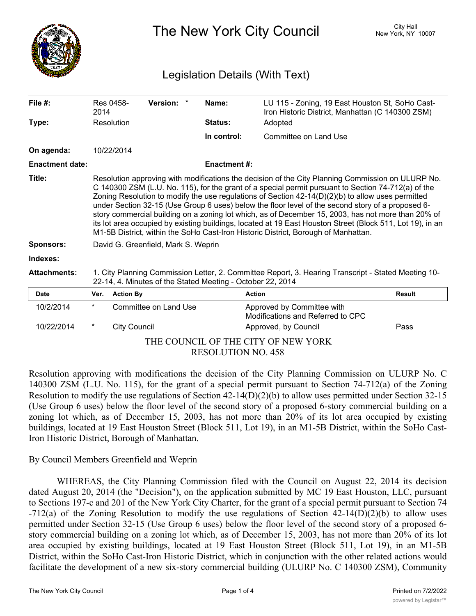

The New York City Council New York, NY 10007

# Legislation Details (With Text)

| File $#$ :                          | 2014                                                                                                                                                              | Res 0458-                                                                                                                                                                                                                                                                                                                                                                                                                                                                                                                                                                                                                                                                                                                     | Version: *            |  | Name:               | LU 115 - Zoning, 19 East Houston St, SoHo Cast-<br>Iron Historic District, Manhattan (C 140300 ZSM) |               |
|-------------------------------------|-------------------------------------------------------------------------------------------------------------------------------------------------------------------|-------------------------------------------------------------------------------------------------------------------------------------------------------------------------------------------------------------------------------------------------------------------------------------------------------------------------------------------------------------------------------------------------------------------------------------------------------------------------------------------------------------------------------------------------------------------------------------------------------------------------------------------------------------------------------------------------------------------------------|-----------------------|--|---------------------|-----------------------------------------------------------------------------------------------------|---------------|
| Type:                               |                                                                                                                                                                   | Resolution                                                                                                                                                                                                                                                                                                                                                                                                                                                                                                                                                                                                                                                                                                                    |                       |  | <b>Status:</b>      | Adopted                                                                                             |               |
|                                     |                                                                                                                                                                   |                                                                                                                                                                                                                                                                                                                                                                                                                                                                                                                                                                                                                                                                                                                               |                       |  | In control:         | Committee on Land Use                                                                               |               |
| On agenda:                          |                                                                                                                                                                   | 10/22/2014                                                                                                                                                                                                                                                                                                                                                                                                                                                                                                                                                                                                                                                                                                                    |                       |  |                     |                                                                                                     |               |
| <b>Enactment date:</b>              |                                                                                                                                                                   |                                                                                                                                                                                                                                                                                                                                                                                                                                                                                                                                                                                                                                                                                                                               |                       |  | <b>Enactment #:</b> |                                                                                                     |               |
| Title:                              |                                                                                                                                                                   | Resolution approving with modifications the decision of the City Planning Commission on ULURP No.<br>C 140300 ZSM (L.U. No. 115), for the grant of a special permit pursuant to Section 74-712(a) of the<br>Zoning Resolution to modify the use regulations of Section $42-14(D)(2)(b)$ to allow uses permitted<br>under Section 32-15 (Use Group 6 uses) below the floor level of the second story of a proposed 6-<br>story commercial building on a zoning lot which, as of December 15, 2003, has not more than 20% of<br>its lot area occupied by existing buildings, located at 19 East Houston Street (Block 511, Lot 19), in an<br>M1-5B District, within the SoHo Cast-Iron Historic District, Borough of Manhattan. |                       |  |                     |                                                                                                     |               |
| <b>Sponsors:</b>                    | David G. Greenfield, Mark S. Weprin                                                                                                                               |                                                                                                                                                                                                                                                                                                                                                                                                                                                                                                                                                                                                                                                                                                                               |                       |  |                     |                                                                                                     |               |
| Indexes:                            |                                                                                                                                                                   |                                                                                                                                                                                                                                                                                                                                                                                                                                                                                                                                                                                                                                                                                                                               |                       |  |                     |                                                                                                     |               |
| <b>Attachments:</b>                 | 1. City Planning Commission Letter, 2. Committee Report, 3. Hearing Transcript - Stated Meeting 10-<br>22-14, 4. Minutes of the Stated Meeting - October 22, 2014 |                                                                                                                                                                                                                                                                                                                                                                                                                                                                                                                                                                                                                                                                                                                               |                       |  |                     |                                                                                                     |               |
| <b>Date</b>                         | Ver.                                                                                                                                                              | <b>Action By</b>                                                                                                                                                                                                                                                                                                                                                                                                                                                                                                                                                                                                                                                                                                              |                       |  | <b>Action</b>       |                                                                                                     | <b>Result</b> |
| 10/2/2014                           | $\star$                                                                                                                                                           |                                                                                                                                                                                                                                                                                                                                                                                                                                                                                                                                                                                                                                                                                                                               | Committee on Land Use |  |                     | Approved by Committee with<br>Modifications and Referred to CPC                                     |               |
| 10/22/2014                          | $^\ast$                                                                                                                                                           | <b>City Council</b>                                                                                                                                                                                                                                                                                                                                                                                                                                                                                                                                                                                                                                                                                                           |                       |  |                     | Approved, by Council                                                                                | Pass          |
| THE COUNCIL OF THE CITY OF NEW YORK |                                                                                                                                                                   |                                                                                                                                                                                                                                                                                                                                                                                                                                                                                                                                                                                                                                                                                                                               |                       |  |                     |                                                                                                     |               |
| <b>RESOLUTION NO. 458</b>           |                                                                                                                                                                   |                                                                                                                                                                                                                                                                                                                                                                                                                                                                                                                                                                                                                                                                                                                               |                       |  |                     |                                                                                                     |               |

Resolution approving with modifications the decision of the City Planning Commission on ULURP No. C 140300 ZSM (L.U. No. 115), for the grant of a special permit pursuant to Section 74-712(a) of the Zoning Resolution to modify the use regulations of Section 42-14(D)(2)(b) to allow uses permitted under Section 32-15 (Use Group 6 uses) below the floor level of the second story of a proposed 6-story commercial building on a zoning lot which, as of December 15, 2003, has not more than 20% of its lot area occupied by existing buildings, located at 19 East Houston Street (Block 511, Lot 19), in an M1-5B District, within the SoHo Cast-Iron Historic District, Borough of Manhattan.

## By Council Members Greenfield and Weprin

WHEREAS, the City Planning Commission filed with the Council on August 22, 2014 its decision dated August 20, 2014 (the "Decision"), on the application submitted by MC 19 East Houston, LLC, pursuant to Sections 197-c and 201 of the New York City Charter, for the grant of a special permit pursuant to Section 74 -712(a) of the Zoning Resolution to modify the use regulations of Section 42-14(D)(2)(b) to allow uses permitted under Section 32-15 (Use Group 6 uses) below the floor level of the second story of a proposed 6 story commercial building on a zoning lot which, as of December 15, 2003, has not more than 20% of its lot area occupied by existing buildings, located at 19 East Houston Street (Block 511, Lot 19), in an M1-5B District, within the SoHo Cast-Iron Historic District, which in conjunction with the other related actions would facilitate the development of a new six-story commercial building (ULURP No. C 140300 ZSM), Community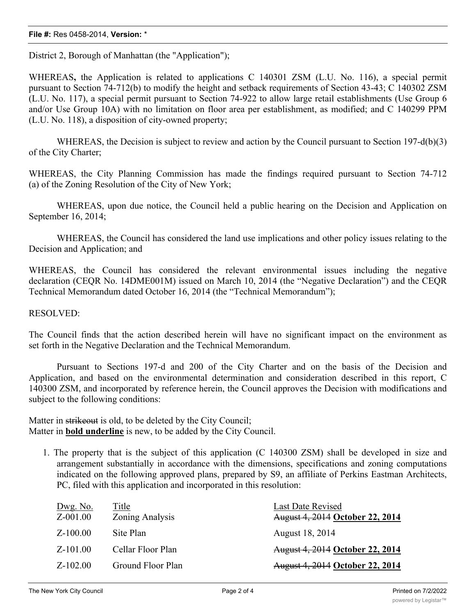#### **File #:** Res 0458-2014, **Version:** \*

District 2, Borough of Manhattan (the "Application");

WHEREAS**,** the Application is related to applications C 140301 ZSM (L.U. No. 116), a special permit pursuant to Section 74-712(b) to modify the height and setback requirements of Section 43-43; C 140302 ZSM (L.U. No. 117), a special permit pursuant to Section 74-922 to allow large retail establishments (Use Group 6 and/or Use Group 10A) with no limitation on floor area per establishment, as modified; and C 140299 PPM (L.U. No. 118), a disposition of city-owned property;

WHEREAS, the Decision is subject to review and action by the Council pursuant to Section 197-d(b)(3) of the City Charter;

WHEREAS, the City Planning Commission has made the findings required pursuant to Section 74-712 (a) of the Zoning Resolution of the City of New York;

WHEREAS, upon due notice, the Council held a public hearing on the Decision and Application on September 16, 2014;

WHEREAS, the Council has considered the land use implications and other policy issues relating to the Decision and Application; and

WHEREAS, the Council has considered the relevant environmental issues including the negative declaration (CEQR No. 14DME001M) issued on March 10, 2014 (the "Negative Declaration") and the CEQR Technical Memorandum dated October 16, 2014 (the "Technical Memorandum");

#### RESOLVED:

The Council finds that the action described herein will have no significant impact on the environment as set forth in the Negative Declaration and the Technical Memorandum.

Pursuant to Sections 197-d and 200 of the City Charter and on the basis of the Decision and Application, and based on the environmental determination and consideration described in this report, C 140300 ZSM, and incorporated by reference herein, the Council approves the Decision with modifications and subject to the following conditions:

Matter in strikeout is old, to be deleted by the City Council; Matter in **bold underline** is new, to be added by the City Council.

1. The property that is the subject of this application (C 140300 ZSM) shall be developed in size and arrangement substantially in accordance with the dimensions, specifications and zoning computations indicated on the following approved plans, prepared by S9, an affiliate of Perkins Eastman Architects, PC, filed with this application and incorporated in this resolution:

| Dwg. No.<br>$Z - 001.00$ | Title<br>Zoning Analysis | Last Date Revised<br><b>August 4, 2014 October 22, 2014</b> |
|--------------------------|--------------------------|-------------------------------------------------------------|
| $Z-100.00$               | Site Plan                | August 18, 2014                                             |
| $Z - 101.00$             | Cellar Floor Plan        | <b>August 4, 2014 October 22, 2014</b>                      |
| $Z - 102.00$             | Ground Floor Plan        | <b>August 4, 2014 October 22, 2014</b>                      |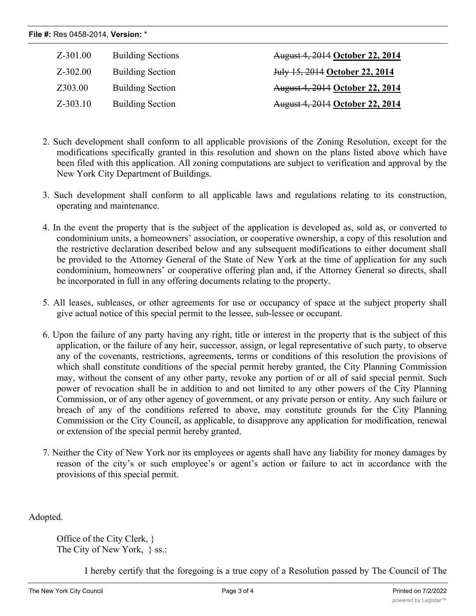| File #: Res 0458-2014, Version: * |                          |                                        |  |  |  |  |  |
|-----------------------------------|--------------------------|----------------------------------------|--|--|--|--|--|
| Z-301.00                          | <b>Building Sections</b> | <b>August 4, 2014 October 22, 2014</b> |  |  |  |  |  |
| $Z - 302.00$                      | <b>Building Section</b>  | July 15, 2014 October 22, 2014         |  |  |  |  |  |
| Z303.00                           | <b>Building Section</b>  | August 4, 2014 October 22, 2014        |  |  |  |  |  |
| $Z - 303.10$                      | <b>Building Section</b>  | August 4, 2014 October 22, 2014        |  |  |  |  |  |

- 2. Such development shall conform to all applicable provisions of the Zoning Resolution, except for the modifications specifically granted in this resolution and shown on the plans listed above which have been filed with this application. All zoning computations are subject to verification and approval by the New York City Department of Buildings.
- 3. Such development shall conform to all applicable laws and regulations relating to its construction, operating and maintenance.
- 4. In the event the property that is the subject of the application is developed as, sold as, or converted to condominium units, a homeowners' association, or cooperative ownership, a copy of this resolution and the restrictive declaration described below and any subsequent modifications to either document shall be provided to the Attorney General of the State of New York at the time of application for any such condominium, homeowners' or cooperative offering plan and, if the Attorney General so directs, shall be incorporated in full in any offering documents relating to the property.
- 5. All leases, subleases, or other agreements for use or occupancy of space at the subject property shall give actual notice of this special permit to the lessee, sub-lessee or occupant.
- 6. Upon the failure of any party having any right, title or interest in the property that is the subject of this application, or the failure of any heir, successor, assign, or legal representative of such party, to observe any of the covenants, restrictions, agreements, terms or conditions of this resolution the provisions of which shall constitute conditions of the special permit hereby granted, the City Planning Commission may, without the consent of any other party, revoke any portion of or all of said special permit. Such power of revocation shall be in addition to and not limited to any other powers of the City Planning Commission, or of any other agency of government, or any private person or entity. Any such failure or breach of any of the conditions referred to above, may constitute grounds for the City Planning Commission or the City Council, as applicable, to disapprove any application for modification, renewal or extension of the special permit hereby granted.
- 7. Neither the City of New York nor its employees or agents shall have any liability for money damages by reason of the city's or such employee's or agent's action or failure to act in accordance with the provisions of this special permit.

Adopted.

Office of the City Clerk, } The City of New York, } ss.:

I hereby certify that the foregoing is a true copy of a Resolution passed by The Council of The